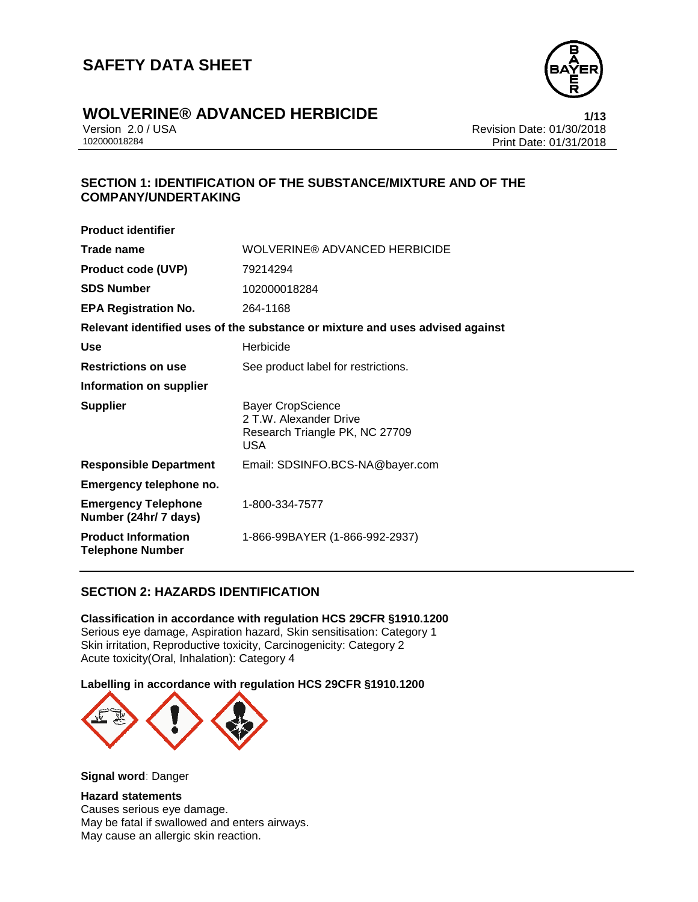

# **WOLVERINE® ADVANCED HERBICIDE**<br>Version 2.0 / USA **1/13**<br>Revision Date: 01/30/2018

Version 2.0 / USA Revision Date: 01/30/2018 Print Date: 01/31/2018

#### **SECTION 1: IDENTIFICATION OF THE SUBSTANCE/MIXTURE AND OF THE COMPANY/UNDERTAKING**

| <b>Product identifier</b>                             |                                                                                             |
|-------------------------------------------------------|---------------------------------------------------------------------------------------------|
| Trade name                                            | WOLVERINE® ADVANCED HERBICIDE                                                               |
| <b>Product code (UVP)</b>                             | 79214294                                                                                    |
| <b>SDS Number</b>                                     | 102000018284                                                                                |
| <b>EPA Registration No.</b>                           | 264-1168                                                                                    |
|                                                       | Relevant identified uses of the substance or mixture and uses advised against               |
| Use                                                   | Herbicide                                                                                   |
| <b>Restrictions on use</b>                            | See product label for restrictions.                                                         |
| Information on supplier                               |                                                                                             |
| <b>Supplier</b>                                       | Bayer CropScience<br>2 T.W. Alexander Drive<br>Research Triangle PK, NC 27709<br><b>USA</b> |
| <b>Responsible Department</b>                         | Email: SDSINFO.BCS-NA@bayer.com                                                             |
| Emergency telephone no.                               |                                                                                             |
| <b>Emergency Telephone</b><br>Number (24hr/ 7 days)   | 1-800-334-7577                                                                              |
| <b>Product Information</b><br><b>Telephone Number</b> | 1-866-99BAYER (1-866-992-2937)                                                              |

#### **SECTION 2: HAZARDS IDENTIFICATION**

**Classification in accordance with regulation HCS 29CFR §1910.1200** Serious eye damage, Aspiration hazard, Skin sensitisation: Category 1 Skin irritation, Reproductive toxicity, Carcinogenicity: Category 2 Acute toxicity(Oral, Inhalation): Category 4

**Labelling in accordance with regulation HCS 29CFR §1910.1200**



**Signal word**: Danger

#### **Hazard statements**

Causes serious eye damage. May be fatal if swallowed and enters airways. May cause an allergic skin reaction.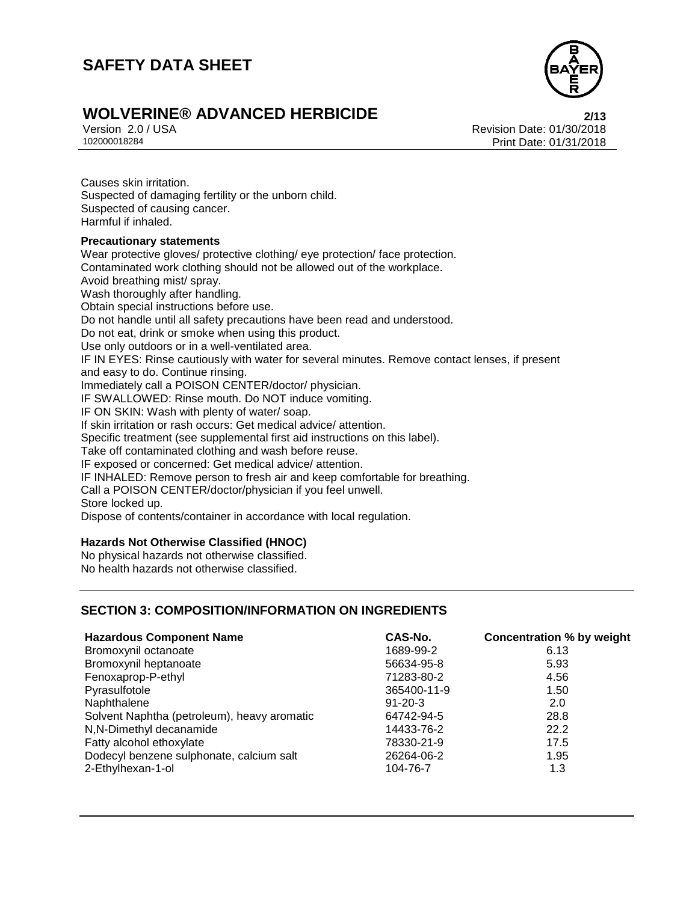

### **WOLVERINE® ADVANCED HERBICIDE 2/13**

Version 2.0 / USA Revision Date: 01/30/2018<br>102000018284<br>Print Date: 01/31/2018 Print Date: 01/31/2018

Causes skin irritation. Suspected of damaging fertility or the unborn child. Suspected of causing cancer. Harmful if inhaled. **Precautionary statements** Wear protective gloves/ protective clothing/ eye protection/ face protection. Contaminated work clothing should not be allowed out of the workplace. Avoid breathing mist/ spray. Wash thoroughly after handling. Obtain special instructions before use.

Do not handle until all safety precautions have been read and understood.

Do not eat, drink or smoke when using this product.

Use only outdoors or in a well-ventilated area.

IF IN EYES: Rinse cautiously with water for several minutes. Remove contact lenses, if present and easy to do. Continue rinsing.

Immediately call a POISON CENTER/doctor/ physician.

IF SWALLOWED: Rinse mouth. Do NOT induce vomiting.

IF ON SKIN: Wash with plenty of water/ soap.

If skin irritation or rash occurs: Get medical advice/ attention.

Specific treatment (see supplemental first aid instructions on this label).

Take off contaminated clothing and wash before reuse.

IF exposed or concerned: Get medical advice/ attention.

IF INHALED: Remove person to fresh air and keep comfortable for breathing.

Call a POISON CENTER/doctor/physician if you feel unwell.

Store locked up.

Dispose of contents/container in accordance with local regulation.

#### **Hazards Not Otherwise Classified (HNOC)**

No physical hazards not otherwise classified. No health hazards not otherwise classified.

#### **SECTION 3: COMPOSITION/INFORMATION ON INGREDIENTS**

| <b>Hazardous Component Name</b>             | CAS-No.       | <b>Concentration % by weight</b> |
|---------------------------------------------|---------------|----------------------------------|
| Bromoxynil octanoate                        | 1689-99-2     | 6.13                             |
| Bromoxynil heptanoate                       | 56634-95-8    | 5.93                             |
| Fenoxaprop-P-ethyl                          | 71283-80-2    | 4.56                             |
| Pyrasulfotole                               | 365400-11-9   | 1.50                             |
| Naphthalene                                 | $91 - 20 - 3$ | 2.0                              |
| Solvent Naphtha (petroleum), heavy aromatic | 64742-94-5    | 28.8                             |
| N,N-Dimethyl decanamide                     | 14433-76-2    | 22.2                             |
| Fatty alcohol ethoxylate                    | 78330-21-9    | 17.5                             |
| Dodecyl benzene sulphonate, calcium salt    | 26264-06-2    | 1.95                             |
| 2-Ethylhexan-1-ol                           | 104-76-7      | 1.3                              |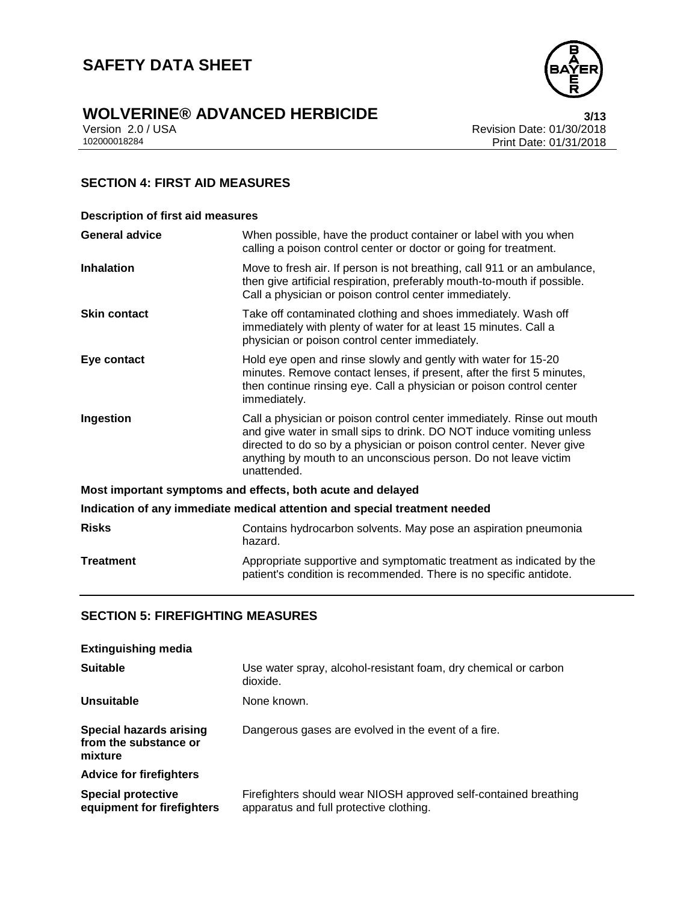

# **WOLVERINE® ADVANCED HERBICIDE**<br>Version 2.0 / USA **Presigne 2.0 / USA**

Version 2.0 / USA Revision Date: 01/30/2018<br>102000018284<br>Print Date: 01/31/2018 Print Date: 01/31/2018

#### **SECTION 4: FIRST AID MEASURES**

| <b>Description of first aid measures</b>                                   |                                                                                                                                                                                                                                                                                                           |  |
|----------------------------------------------------------------------------|-----------------------------------------------------------------------------------------------------------------------------------------------------------------------------------------------------------------------------------------------------------------------------------------------------------|--|
| <b>General advice</b>                                                      | When possible, have the product container or label with you when<br>calling a poison control center or doctor or going for treatment.                                                                                                                                                                     |  |
| <b>Inhalation</b>                                                          | Move to fresh air. If person is not breathing, call 911 or an ambulance,<br>then give artificial respiration, preferably mouth-to-mouth if possible.<br>Call a physician or poison control center immediately.                                                                                            |  |
| <b>Skin contact</b>                                                        | Take off contaminated clothing and shoes immediately. Wash off<br>immediately with plenty of water for at least 15 minutes. Call a<br>physician or poison control center immediately.                                                                                                                     |  |
| Eye contact                                                                | Hold eye open and rinse slowly and gently with water for 15-20<br>minutes. Remove contact lenses, if present, after the first 5 minutes,<br>then continue rinsing eye. Call a physician or poison control center<br>immediately.                                                                          |  |
| Ingestion                                                                  | Call a physician or poison control center immediately. Rinse out mouth<br>and give water in small sips to drink. DO NOT induce vomiting unless<br>directed to do so by a physician or poison control center. Never give<br>anything by mouth to an unconscious person. Do not leave victim<br>unattended. |  |
|                                                                            | Most important symptoms and effects, both acute and delayed                                                                                                                                                                                                                                               |  |
| Indication of any immediate medical attention and special treatment needed |                                                                                                                                                                                                                                                                                                           |  |
| <b>Risks</b>                                                               | Contains hydrocarbon solvents. May pose an aspiration pneumonia<br>hazard.                                                                                                                                                                                                                                |  |
| <b>Treatment</b>                                                           | Appropriate supportive and symptomatic treatment as indicated by the<br>patient's condition is recommended. There is no specific antidote.                                                                                                                                                                |  |

### **SECTION 5: FIREFIGHTING MEASURES**

| <b>Extinguishing media</b>                                         |                                                                                                             |
|--------------------------------------------------------------------|-------------------------------------------------------------------------------------------------------------|
| <b>Suitable</b>                                                    | Use water spray, alcohol-resistant foam, dry chemical or carbon<br>dioxide.                                 |
| Unsuitable                                                         | None known.                                                                                                 |
| <b>Special hazards arising</b><br>from the substance or<br>mixture | Dangerous gases are evolved in the event of a fire.                                                         |
| <b>Advice for firefighters</b>                                     |                                                                                                             |
| <b>Special protective</b><br>equipment for firefighters            | Firefighters should wear NIOSH approved self-contained breathing<br>apparatus and full protective clothing. |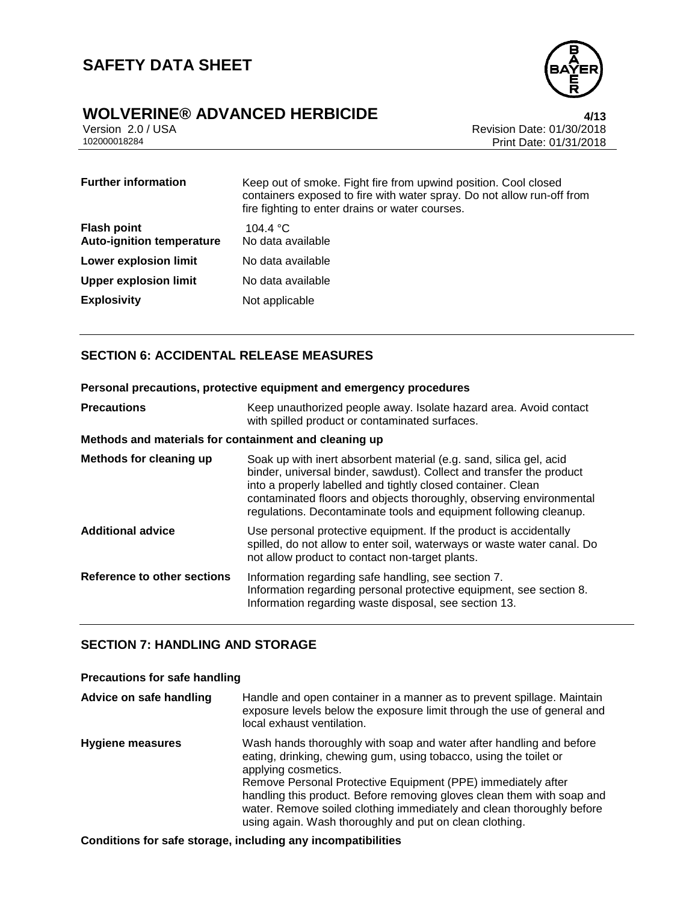

# **WOLVERINE® ADVANCED HERBICIDE**<br>Version 2.0 / USA *All***<sub>2</sub>**

Version 2.0 / USA Revision Date: 01/30/2018 Print Date: 01/31/2018

| <b>Further information</b>                             | Keep out of smoke. Fight fire from upwind position. Cool closed<br>containers exposed to fire with water spray. Do not allow run-off from<br>fire fighting to enter drains or water courses. |
|--------------------------------------------------------|----------------------------------------------------------------------------------------------------------------------------------------------------------------------------------------------|
| <b>Flash point</b><br><b>Auto-ignition temperature</b> | 104.4 °C<br>No data available                                                                                                                                                                |
| <b>Lower explosion limit</b>                           | No data available                                                                                                                                                                            |
| <b>Upper explosion limit</b>                           | No data available                                                                                                                                                                            |
| <b>Explosivity</b>                                     | Not applicable                                                                                                                                                                               |

#### **SECTION 6: ACCIDENTAL RELEASE MEASURES**

#### **Personal precautions, protective equipment and emergency procedures**

| <b>Precautions</b>                                    | Keep unauthorized people away. Isolate hazard area. Avoid contact<br>with spilled product or contaminated surfaces.                                                                                                                                                                                                                                    |
|-------------------------------------------------------|--------------------------------------------------------------------------------------------------------------------------------------------------------------------------------------------------------------------------------------------------------------------------------------------------------------------------------------------------------|
| Methods and materials for containment and cleaning up |                                                                                                                                                                                                                                                                                                                                                        |
| Methods for cleaning up                               | Soak up with inert absorbent material (e.g. sand, silica gel, acid<br>binder, universal binder, sawdust). Collect and transfer the product<br>into a properly labelled and tightly closed container. Clean<br>contaminated floors and objects thoroughly, observing environmental<br>regulations. Decontaminate tools and equipment following cleanup. |
| <b>Additional advice</b>                              | Use personal protective equipment. If the product is accidentally<br>spilled, do not allow to enter soil, waterways or waste water canal. Do<br>not allow product to contact non-target plants.                                                                                                                                                        |
| Reference to other sections                           | Information regarding safe handling, see section 7.<br>Information regarding personal protective equipment, see section 8.<br>Information regarding waste disposal, see section 13.                                                                                                                                                                    |

#### **SECTION 7: HANDLING AND STORAGE**

#### **Precautions for safe handling**

| Advice on safe handling | Handle and open container in a manner as to prevent spillage. Maintain<br>exposure levels below the exposure limit through the use of general and<br>local exhaust ventilation.                                                                                                                                                                                                                                                               |
|-------------------------|-----------------------------------------------------------------------------------------------------------------------------------------------------------------------------------------------------------------------------------------------------------------------------------------------------------------------------------------------------------------------------------------------------------------------------------------------|
| <b>Hygiene measures</b> | Wash hands thoroughly with soap and water after handling and before<br>eating, drinking, chewing gum, using tobacco, using the toilet or<br>applying cosmetics.<br>Remove Personal Protective Equipment (PPE) immediately after<br>handling this product. Before removing gloves clean them with soap and<br>water. Remove soiled clothing immediately and clean thoroughly before<br>using again. Wash thoroughly and put on clean clothing. |

#### **Conditions for safe storage, including any incompatibilities**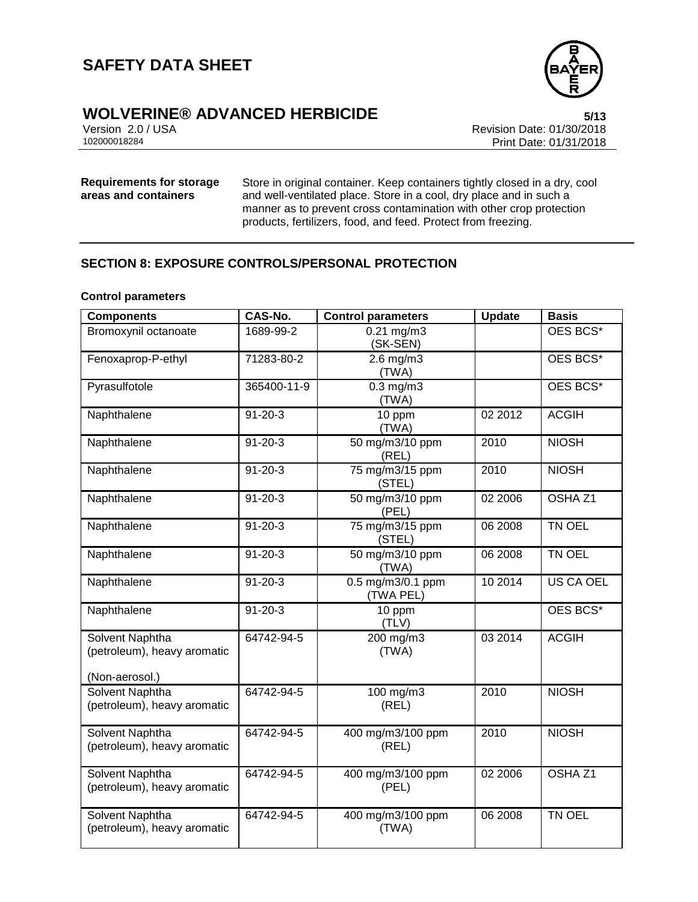

# **WOLVERINE® ADVANCED HERBICIDE**<br>Version 2.0 / USA **bigger and State:** 01/30/2018

Version 2.0 / USA Revision Date: 01/30/2018 Print Date: 01/31/2018

#### **Requirements for storage areas and containers**

Store in original container. Keep containers tightly closed in a dry, cool and well-ventilated place. Store in a cool, dry place and in such a manner as to prevent cross contamination with other crop protection products, fertilizers, food, and feed. Protect from freezing.

#### **SECTION 8: EXPOSURE CONTROLS/PERSONAL PROTECTION**

#### **Control parameters**

| <b>Components</b>                              | CAS-No.       | Control parameters             | <b>Update</b> | <b>Basis</b>       |
|------------------------------------------------|---------------|--------------------------------|---------------|--------------------|
| Bromoxynil octanoate                           | 1689-99-2     | $0.21$ mg/m $3$<br>(SK-SEN)    |               | OES BCS*           |
| Fenoxaprop-P-ethyl                             | 71283-80-2    | $2.6$ mg/m $3$<br>(TWA)        |               | OES BCS*           |
| Pyrasulfotole                                  | 365400-11-9   | $0.3$ mg/m $3$<br>(TWA)        |               | OES BCS*           |
| Naphthalene                                    | $91 - 20 - 3$ | 10 ppm<br>(TWA)                | 02 2012       | <b>ACGIH</b>       |
| Naphthalene                                    | $91 - 20 - 3$ | 50 mg/m3/10 ppm<br>(REL)       | 2010          | <b>NIOSH</b>       |
| Naphthalene                                    | $91 - 20 - 3$ | 75 mg/m3/15 ppm<br>(STEL)      | 2010          | <b>NIOSH</b>       |
| Naphthalene                                    | $91 - 20 - 3$ | 50 mg/m3/10 ppm<br>(PEL)       | 02 2006       | OSHA <sub>Z1</sub> |
| Naphthalene                                    | $91 - 20 - 3$ | 75 mg/m3/15 ppm<br>(STEL)      | 06 2008       | TN OEL             |
| Naphthalene                                    | $91 - 20 - 3$ | 50 mg/m3/10 ppm<br>(TWA)       | 06 2008       | TN OEL             |
| Naphthalene                                    | $91 - 20 - 3$ | 0.5 mg/m3/0.1 ppm<br>(TWA PEL) | 10 2014       | <b>US CA OEL</b>   |
| Naphthalene                                    | $91 - 20 - 3$ | 10 ppm<br>(TLV)                |               | OES BCS*           |
| Solvent Naphtha<br>(petroleum), heavy aromatic | 64742-94-5    | 200 mg/m3<br>(TWA)             | 03 2014       | <b>ACGIH</b>       |
| (Non-aerosol.)                                 | 64742-94-5    |                                |               |                    |
| Solvent Naphtha<br>(petroleum), heavy aromatic |               | 100 mg/m3<br>(REL)             | 2010          | <b>NIOSH</b>       |
| Solvent Naphtha<br>(petroleum), heavy aromatic | 64742-94-5    | 400 mg/m3/100 ppm<br>(REL)     | 2010          | <b>NIOSH</b>       |
| Solvent Naphtha<br>(petroleum), heavy aromatic | 64742-94-5    | 400 mg/m3/100 ppm<br>(PEL)     | 02 2006       | OSHA <sub>Z1</sub> |
| Solvent Naphtha<br>(petroleum), heavy aromatic | 64742-94-5    | 400 mg/m3/100 ppm<br>(TWA)     | 06 2008       | TN OEL             |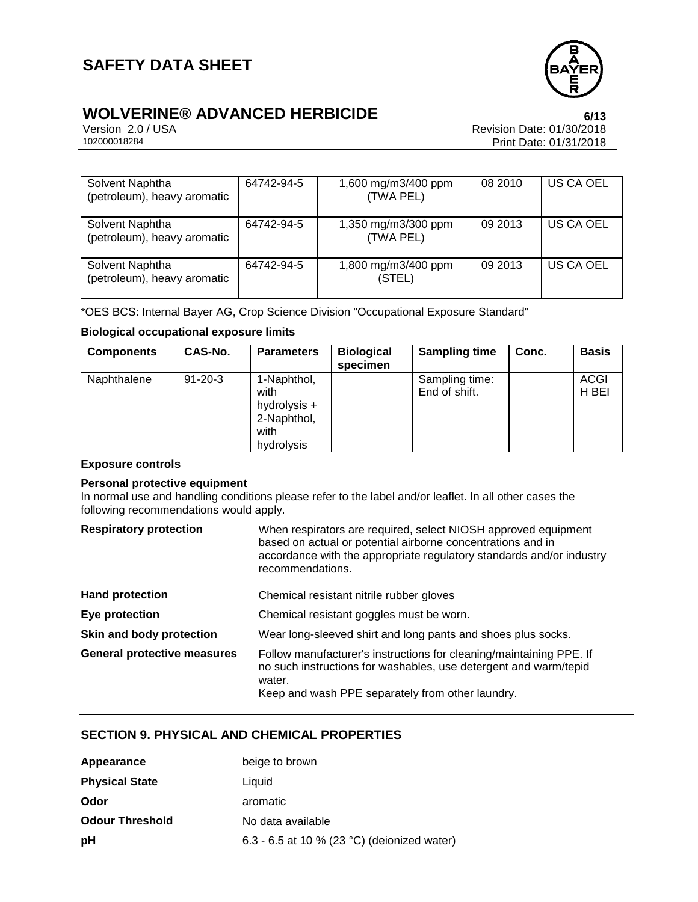

# **WOLVERINE® ADVANCED HERBICIDE**<br>Version 2.0 / USA *CONCRET CONCRET Revision Date:* **01/30/2018**

Version 2.0 / USA Revision Date: 01/30/2018 Print Date: 01/31/2018

| Solvent Naphtha<br>(petroleum), heavy aromatic | 64742-94-5 | 1,600 mg/m3/400 ppm<br>(TWA PEL) | 08 2010 | US CA OEL |
|------------------------------------------------|------------|----------------------------------|---------|-----------|
| Solvent Naphtha<br>(petroleum), heavy aromatic | 64742-94-5 | 1,350 mg/m3/300 ppm<br>(TWA PEL) | 09 2013 | US CA OEL |
| Solvent Naphtha<br>(petroleum), heavy aromatic | 64742-94-5 | 1,800 mg/m3/400 ppm<br>(STEL)    | 09 2013 | US CA OEL |

\*OES BCS: Internal Bayer AG, Crop Science Division "Occupational Exposure Standard"

#### **Biological occupational exposure limits**

| <b>Components</b> | <b>CAS-No.</b> | <b>Parameters</b>                                                        | <b>Biological</b><br>specimen | <b>Sampling time</b>            | Conc. | <b>Basis</b>         |
|-------------------|----------------|--------------------------------------------------------------------------|-------------------------------|---------------------------------|-------|----------------------|
| Naphthalene       | $91 - 20 - 3$  | 1-Naphthol,<br>with<br>hydrolysis +<br>2-Naphthol,<br>with<br>hydrolysis |                               | Sampling time:<br>End of shift. |       | <b>ACGI</b><br>H BEI |

#### **Exposure controls**

#### **Personal protective equipment**

In normal use and handling conditions please refer to the label and/or leaflet. In all other cases the following recommendations would apply.

#### **Respiratory protection**

| When respirators are required, select NIOSH approved equipment       |
|----------------------------------------------------------------------|
| based on actual or potential airborne concentrations and in          |
| accordance with the appropriate regulatory standards and/or industry |
| recommendations.                                                     |
|                                                                      |

| <b>Hand protection</b>             | Chemical resistant nitrile rubber gloves                                                                                                                                                              |  |  |
|------------------------------------|-------------------------------------------------------------------------------------------------------------------------------------------------------------------------------------------------------|--|--|
| Eye protection                     | Chemical resistant goggles must be worn.                                                                                                                                                              |  |  |
| Skin and body protection           | Wear long-sleeved shirt and long pants and shoes plus socks.                                                                                                                                          |  |  |
| <b>General protective measures</b> | Follow manufacturer's instructions for cleaning/maintaining PPE. If<br>no such instructions for washables, use detergent and warm/tepid<br>water.<br>Keep and wash PPE separately from other laundry. |  |  |

#### **SECTION 9. PHYSICAL AND CHEMICAL PROPERTIES**

| Appearance             | beige to brown                              |
|------------------------|---------------------------------------------|
| <b>Physical State</b>  | Liquid                                      |
| Odor                   | aromatic                                    |
| <b>Odour Threshold</b> | No data available                           |
| рH                     | 6.3 - 6.5 at 10 % (23 °C) (deionized water) |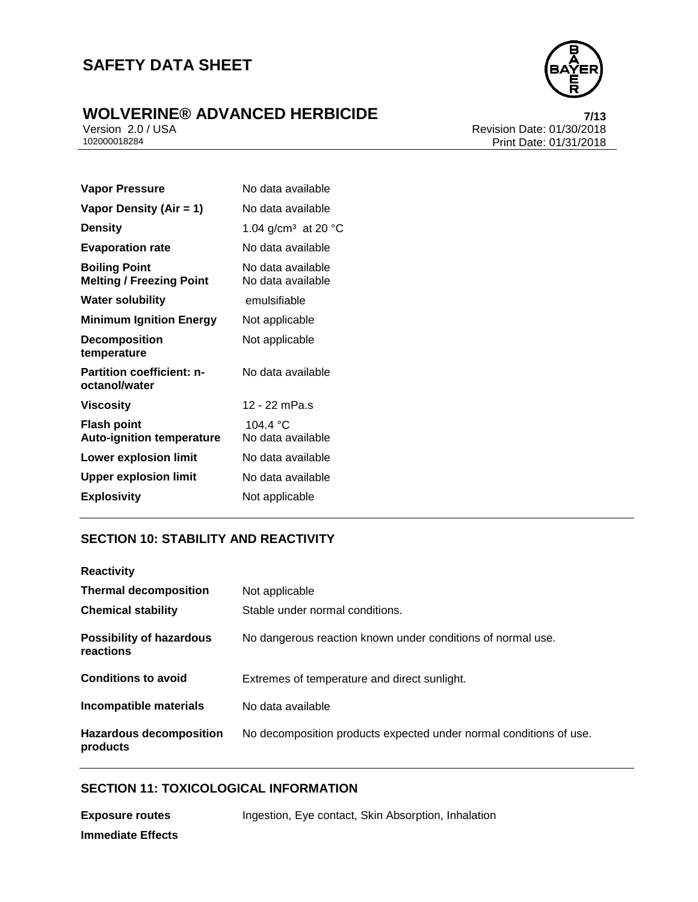

# **WOLVERINE® ADVANCED HERBICIDE**<br>
Version 2.0/USA<br>
Revision Date: 01/30/2018

Version 2.0 / USA Revision Date: 01/30/2018 Print Date: 01/31/2018

| <b>Vapor Pressure</b>                                   | No data available                      |  |  |
|---------------------------------------------------------|----------------------------------------|--|--|
| Vapor Density (Air = 1)                                 | No data available                      |  |  |
| <b>Density</b>                                          | 1.04 g/cm <sup>3</sup> at 20 °C        |  |  |
| <b>Evaporation rate</b>                                 | No data available                      |  |  |
| <b>Boiling Point</b><br><b>Melting / Freezing Point</b> | No data available<br>No data available |  |  |
| <b>Water solubility</b>                                 | emulsifiable                           |  |  |
| <b>Minimum Ignition Energy</b>                          | Not applicable                         |  |  |
| <b>Decomposition</b><br>temperature                     | Not applicable                         |  |  |
| <b>Partition coefficient: n-</b><br>octanol/water       | No data available                      |  |  |
| <b>Viscosity</b>                                        | 12 - 22 mPa.s                          |  |  |
| <b>Flash point</b><br><b>Auto-ignition temperature</b>  | 104 4 °C<br>No data available          |  |  |
| <b>Lower explosion limit</b>                            | No data available                      |  |  |
| <b>Upper explosion limit</b>                            | No data available                      |  |  |
| <b>Explosivity</b>                                      | Not applicable                         |  |  |

#### **SECTION 10: STABILITY AND REACTIVITY**

| <b>Reactivity</b>                            |                                                                    |
|----------------------------------------------|--------------------------------------------------------------------|
| <b>Thermal decomposition</b>                 | Not applicable                                                     |
| <b>Chemical stability</b>                    | Stable under normal conditions.                                    |
| <b>Possibility of hazardous</b><br>reactions | No dangerous reaction known under conditions of normal use.        |
| <b>Conditions to avoid</b>                   | Extremes of temperature and direct sunlight.                       |
| Incompatible materials                       | No data available                                                  |
| <b>Hazardous decomposition</b><br>products   | No decomposition products expected under normal conditions of use. |

#### **SECTION 11: TOXICOLOGICAL INFORMATION**

**Exposure routes** Ingestion, Eye contact, Skin Absorption, Inhalation **Immediate Effects**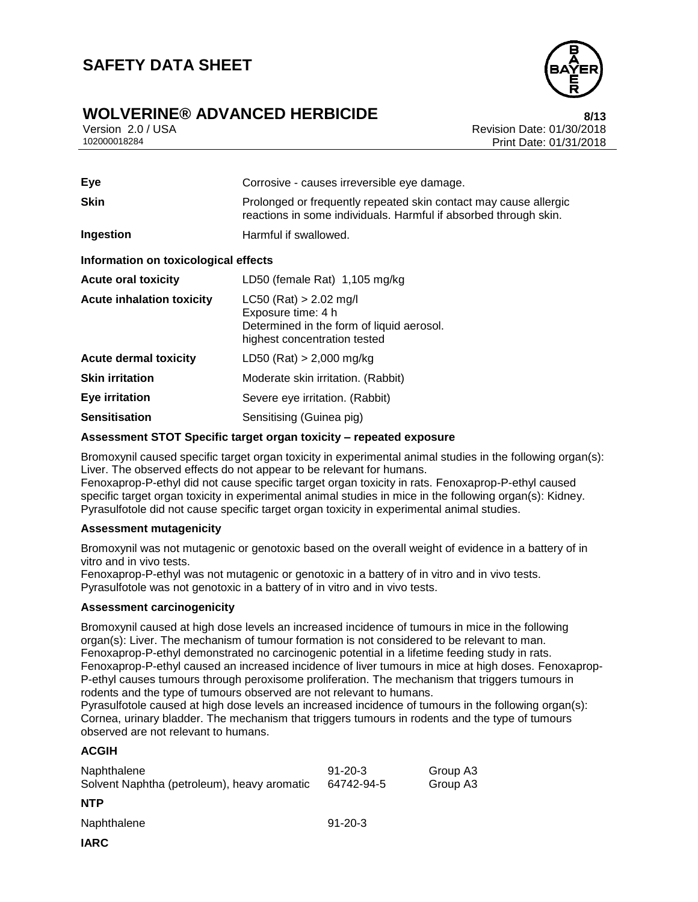

### **WOLVERINE® ADVANCED HERBICIDE 8/13**

Version 2.0 / USA Revision Date: 01/30/2018<br>102000018284<br>Print Date: 01/31/2018 Print Date: 01/31/2018

| Eye                                  | Corrosive - causes irreversible eye damage.                                                                                          |  |  |  |
|--------------------------------------|--------------------------------------------------------------------------------------------------------------------------------------|--|--|--|
| <b>Skin</b>                          | Prolonged or frequently repeated skin contact may cause allergic<br>reactions in some individuals. Harmful if absorbed through skin. |  |  |  |
| Ingestion                            | Harmful if swallowed.                                                                                                                |  |  |  |
| Information on toxicological effects |                                                                                                                                      |  |  |  |
| <b>Acute oral toxicity</b>           | LD50 (female Rat) 1,105 mg/kg                                                                                                        |  |  |  |
| <b>Acute inhalation toxicity</b>     | $LC50$ (Rat) > 2.02 mg/l<br>Exposure time: 4 h<br>Determined in the form of liquid aerosol.<br>highest concentration tested          |  |  |  |
| <b>Acute dermal toxicity</b>         | $LD50$ (Rat) > 2,000 mg/kg                                                                                                           |  |  |  |
| <b>Skin irritation</b>               | Moderate skin irritation. (Rabbit)                                                                                                   |  |  |  |
| Eye irritation                       | Severe eye irritation. (Rabbit)                                                                                                      |  |  |  |
| <b>Sensitisation</b>                 | Sensitising (Guinea pig)                                                                                                             |  |  |  |

#### **Assessment STOT Specific target organ toxicity – repeated exposure**

Bromoxynil caused specific target organ toxicity in experimental animal studies in the following organ(s): Liver. The observed effects do not appear to be relevant for humans.

Fenoxaprop-P-ethyl did not cause specific target organ toxicity in rats. Fenoxaprop-P-ethyl caused specific target organ toxicity in experimental animal studies in mice in the following organ(s): Kidney. Pyrasulfotole did not cause specific target organ toxicity in experimental animal studies.

#### **Assessment mutagenicity**

Bromoxynil was not mutagenic or genotoxic based on the overall weight of evidence in a battery of in vitro and in vivo tests.

Fenoxaprop-P-ethyl was not mutagenic or genotoxic in a battery of in vitro and in vivo tests. Pyrasulfotole was not genotoxic in a battery of in vitro and in vivo tests.

#### **Assessment carcinogenicity**

Bromoxynil caused at high dose levels an increased incidence of tumours in mice in the following organ(s): Liver. The mechanism of tumour formation is not considered to be relevant to man. Fenoxaprop-P-ethyl demonstrated no carcinogenic potential in a lifetime feeding study in rats. Fenoxaprop-P-ethyl caused an increased incidence of liver tumours in mice at high doses. Fenoxaprop-P-ethyl causes tumours through peroxisome proliferation. The mechanism that triggers tumours in rodents and the type of tumours observed are not relevant to humans.

Pyrasulfotole caused at high dose levels an increased incidence of tumours in the following organ(s): Cornea, urinary bladder. The mechanism that triggers tumours in rodents and the type of tumours observed are not relevant to humans.

#### **ACGIH**

| Naphthalene<br>Solvent Naphtha (petroleum), heavy aromatic | $91 - 20 - 3$<br>64742-94-5 | Group A3<br>Group A3 |
|------------------------------------------------------------|-----------------------------|----------------------|
| <b>NTP</b>                                                 |                             |                      |
| Naphthalene                                                | $91 - 20 - 3$               |                      |
| <b>IARC</b>                                                |                             |                      |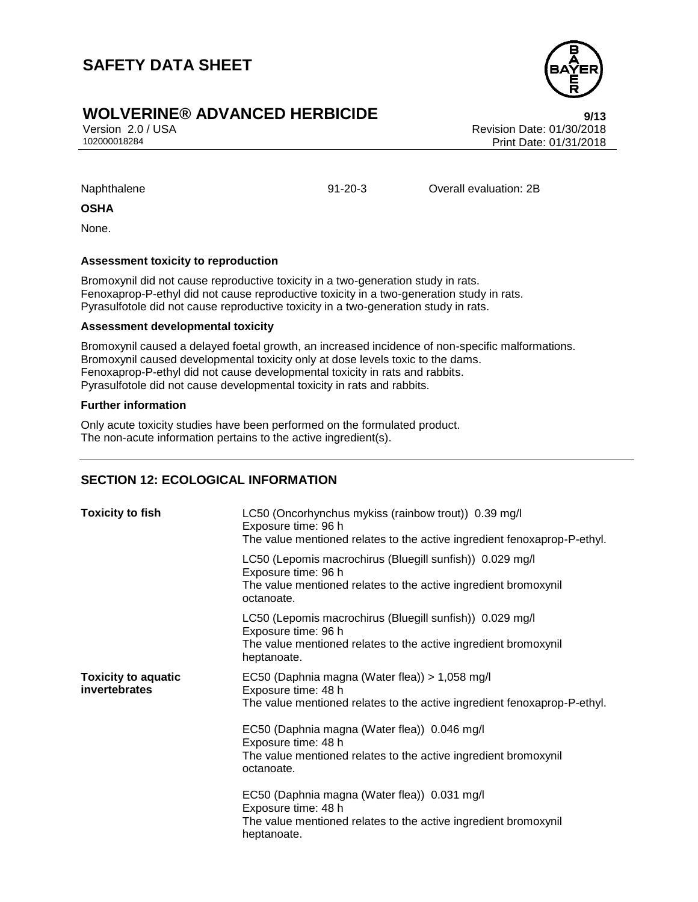### **WOLVERINE® ADVANCED HERBICIDE 9/13**

Version 2.0 / USA Revision Date: 01/30/2018 Print Date: 01/31/2018

Naphthalene 91-20-3 Overall evaluation: 2B

#### **OSHA**

None.

#### **Assessment toxicity to reproduction**

Bromoxynil did not cause reproductive toxicity in a two-generation study in rats. Fenoxaprop-P-ethyl did not cause reproductive toxicity in a two-generation study in rats. Pyrasulfotole did not cause reproductive toxicity in a two-generation study in rats.

#### **Assessment developmental toxicity**

Bromoxynil caused a delayed foetal growth, an increased incidence of non-specific malformations. Bromoxynil caused developmental toxicity only at dose levels toxic to the dams. Fenoxaprop-P-ethyl did not cause developmental toxicity in rats and rabbits. Pyrasulfotole did not cause developmental toxicity in rats and rabbits.

#### **Further information**

Only acute toxicity studies have been performed on the formulated product. The non-acute information pertains to the active ingredient(s).

#### **SECTION 12: ECOLOGICAL INFORMATION**

| <b>Toxicity to fish</b>                     | LC50 (Oncorhynchus mykiss (rainbow trout)) 0.39 mg/l<br>Exposure time: 96 h<br>The value mentioned relates to the active ingredient fenoxaprop-P-ethyl.                                                                                                                                                   |  |  |
|---------------------------------------------|-----------------------------------------------------------------------------------------------------------------------------------------------------------------------------------------------------------------------------------------------------------------------------------------------------------|--|--|
|                                             | LC50 (Lepomis macrochirus (Bluegill sunfish)) 0.029 mg/l<br>Exposure time: 96 h<br>The value mentioned relates to the active ingredient bromoxynil<br>octanoate.                                                                                                                                          |  |  |
|                                             | LC50 (Lepomis macrochirus (Bluegill sunfish)) 0.029 mg/l<br>Exposure time: 96 h<br>The value mentioned relates to the active ingredient bromoxynil<br>heptanoate.                                                                                                                                         |  |  |
| <b>Toxicity to aquatic</b><br>invertebrates | EC50 (Daphnia magna (Water flea)) > 1,058 mg/l<br>Exposure time: 48 h<br>The value mentioned relates to the active ingredient fenoxaprop-P-ethyl.<br>EC50 (Daphnia magna (Water flea)) 0.046 mg/l<br>Exposure time: 48 h<br>The value mentioned relates to the active ingredient bromoxynil<br>octanoate. |  |  |
|                                             | EC50 (Daphnia magna (Water flea)) 0.031 mg/l<br>Exposure time: 48 h<br>The value mentioned relates to the active ingredient bromoxynil<br>heptanoate.                                                                                                                                                     |  |  |

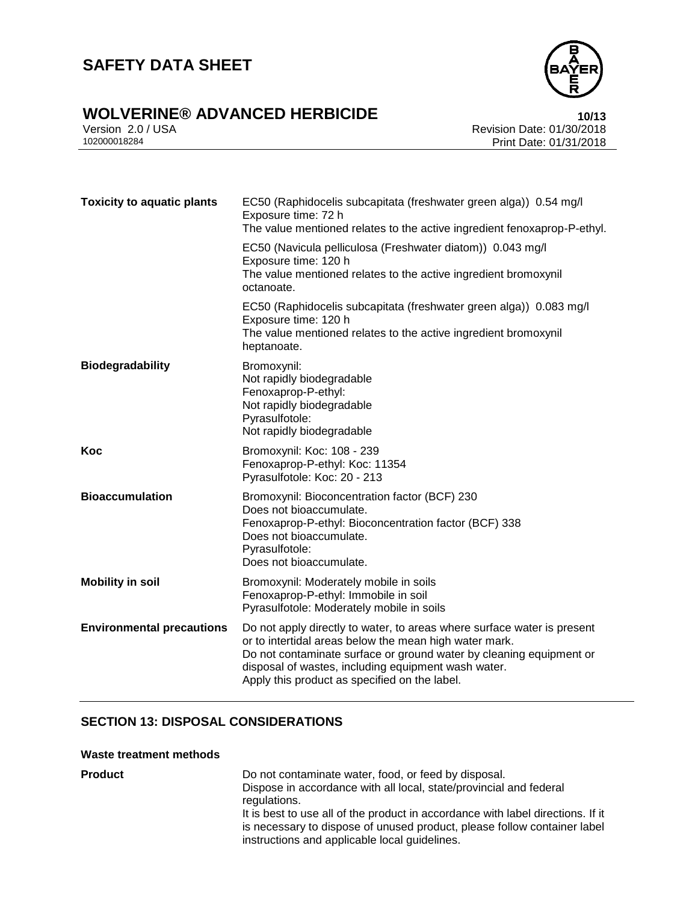

# **WOLVERINE® ADVANCED HERBICIDE**<br>Version 2.0 / USA **10/13**<br>Revision Date: 01/30/2018

Version 2.0 / USA Revision Date: 01/30/2018<br>102000018284<br>Print Date: 01/31/2018 Print Date: 01/31/2018

| <b>Toxicity to aquatic plants</b> | EC50 (Raphidocelis subcapitata (freshwater green alga)) 0.54 mg/l<br>Exposure time: 72 h<br>The value mentioned relates to the active ingredient fenoxaprop-P-ethyl.                                                                                                                                             |
|-----------------------------------|------------------------------------------------------------------------------------------------------------------------------------------------------------------------------------------------------------------------------------------------------------------------------------------------------------------|
|                                   | EC50 (Navicula pelliculosa (Freshwater diatom)) 0.043 mg/l<br>Exposure time: 120 h<br>The value mentioned relates to the active ingredient bromoxynil<br>octanoate.                                                                                                                                              |
|                                   | EC50 (Raphidocelis subcapitata (freshwater green alga)) 0.083 mg/l<br>Exposure time: 120 h<br>The value mentioned relates to the active ingredient bromoxynil<br>heptanoate.                                                                                                                                     |
| <b>Biodegradability</b>           | Bromoxynil:<br>Not rapidly biodegradable<br>Fenoxaprop-P-ethyl:<br>Not rapidly biodegradable<br>Pyrasulfotole:<br>Not rapidly biodegradable                                                                                                                                                                      |
| Koc                               | Bromoxynil: Koc: 108 - 239<br>Fenoxaprop-P-ethyl: Koc: 11354<br>Pyrasulfotole: Koc: 20 - 213                                                                                                                                                                                                                     |
| <b>Bioaccumulation</b>            | Bromoxynil: Bioconcentration factor (BCF) 230<br>Does not bioaccumulate.<br>Fenoxaprop-P-ethyl: Bioconcentration factor (BCF) 338<br>Does not bioaccumulate.<br>Pyrasulfotole:<br>Does not bioaccumulate.                                                                                                        |
| <b>Mobility in soil</b>           | Bromoxynil: Moderately mobile in soils<br>Fenoxaprop-P-ethyl: Immobile in soil<br>Pyrasulfotole: Moderately mobile in soils                                                                                                                                                                                      |
| <b>Environmental precautions</b>  | Do not apply directly to water, to areas where surface water is present<br>or to intertidal areas below the mean high water mark.<br>Do not contaminate surface or ground water by cleaning equipment or<br>disposal of wastes, including equipment wash water.<br>Apply this product as specified on the label. |

#### **SECTION 13: DISPOSAL CONSIDERATIONS**

#### **Waste treatment methods**

| <b>Product</b> | Do not contaminate water, food, or feed by disposal.<br>Dispose in accordance with all local, state/provincial and federal<br>regulations.<br>It is best to use all of the product in accordance with label directions. If it<br>is necessary to dispose of unused product, please follow container label<br>instructions and applicable local guidelines. |
|----------------|------------------------------------------------------------------------------------------------------------------------------------------------------------------------------------------------------------------------------------------------------------------------------------------------------------------------------------------------------------|
|                |                                                                                                                                                                                                                                                                                                                                                            |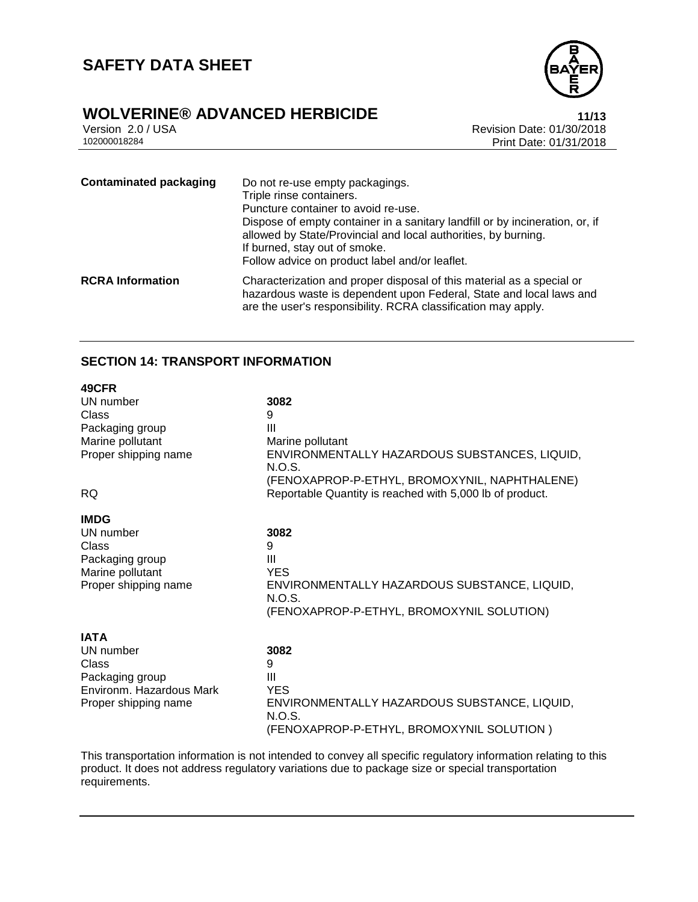

# **WOLVERINE® ADVANCED HERBICIDE**<br>Version 2.0 / USA **11/13**<br>Revision Date: 01/30/2018

Version 2.0 / USA Revision Date: 01/30/2018<br>102000018284<br>Print Date: 01/31/2018 Print Date: 01/31/2018

| <b>Contaminated packaging</b> | Do not re-use empty packagings.<br>Triple rinse containers.<br>Puncture container to avoid re-use.<br>Dispose of empty container in a sanitary landfill or by incineration, or, if<br>allowed by State/Provincial and local authorities, by burning.<br>If burned, stay out of smoke.<br>Follow advice on product label and/or leaflet. |
|-------------------------------|-----------------------------------------------------------------------------------------------------------------------------------------------------------------------------------------------------------------------------------------------------------------------------------------------------------------------------------------|
| <b>RCRA Information</b>       | Characterization and proper disposal of this material as a special or<br>hazardous waste is dependent upon Federal, State and local laws and<br>are the user's responsibility. RCRA classification may apply.                                                                                                                           |

#### **SECTION 14: TRANSPORT INFORMATION**

| 49CFR                    |                                                          |
|--------------------------|----------------------------------------------------------|
| UN number                | 3082                                                     |
| Class                    | 9                                                        |
| Packaging group          | Ш                                                        |
| Marine pollutant         | Marine pollutant                                         |
| Proper shipping name     | ENVIRONMENTALLY HAZARDOUS SUBSTANCES, LIQUID,<br>N.O.S.  |
|                          | (FENOXAPROP-P-ETHYL, BROMOXYNIL, NAPHTHALENE)            |
| <b>RQ</b>                | Reportable Quantity is reached with 5,000 lb of product. |
|                          |                                                          |
| <b>IMDG</b><br>UN number | 3082                                                     |
| Class                    | 9                                                        |
| Packaging group          | Ш                                                        |
| Marine pollutant         | <b>YES</b>                                               |
| Proper shipping name     | ENVIRONMENTALLY HAZARDOUS SUBSTANCE, LIQUID,<br>N.O.S.   |
|                          | (FENOXAPROP-P-ETHYL, BROMOXYNIL SOLUTION)                |
|                          |                                                          |
| <b>IATA</b>              |                                                          |
| UN number                | 3082                                                     |
| Class                    | 9                                                        |
| Packaging group          | Ш                                                        |
| Environm. Hazardous Mark | <b>YES</b>                                               |
| Proper shipping name     | ENVIRONMENTALLY HAZARDOUS SUBSTANCE, LIQUID,             |
|                          | N.O.S.                                                   |
|                          | (FENOXAPROP-P-ETHYL, BROMOXYNIL SOLUTION)                |

This transportation information is not intended to convey all specific regulatory information relating to this product. It does not address regulatory variations due to package size or special transportation requirements.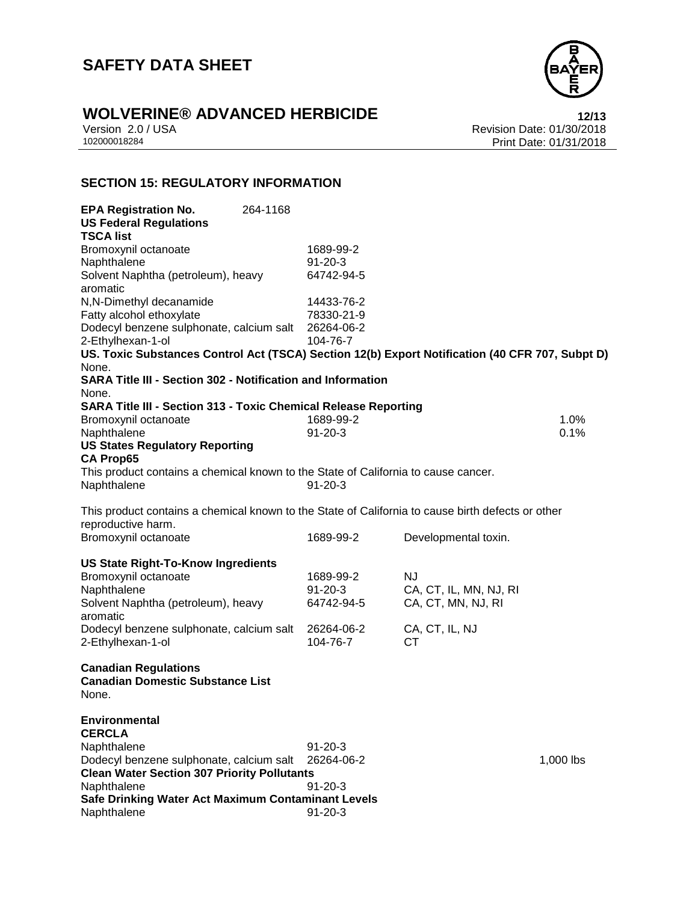

# **WOLVERINE® ADVANCED HERBICIDE**<br>Version 2.0 / USA **12/13**<br>Revision Date: 01/30/2018

Version 2.0 / USA Revision Date: 01/30/2018<br>102000018284<br>Print Date: 01/31/2018 Print Date: 01/31/2018

#### **SECTION 15: REGULATORY INFORMATION**

| <b>EPA Registration No.</b><br><b>US Federal Regulations</b>                                      | 264-1168      |           |                        |           |
|---------------------------------------------------------------------------------------------------|---------------|-----------|------------------------|-----------|
| <b>TSCA list</b>                                                                                  |               |           |                        |           |
| Bromoxynil octanoate                                                                              | 1689-99-2     |           |                        |           |
| Naphthalene                                                                                       | $91 - 20 - 3$ |           |                        |           |
| Solvent Naphtha (petroleum), heavy                                                                | 64742-94-5    |           |                        |           |
| aromatic                                                                                          |               |           |                        |           |
| N,N-Dimethyl decanamide                                                                           | 14433-76-2    |           |                        |           |
| Fatty alcohol ethoxylate                                                                          | 78330-21-9    |           |                        |           |
| Dodecyl benzene sulphonate, calcium salt                                                          | 26264-06-2    |           |                        |           |
| 2-Ethylhexan-1-ol                                                                                 | 104-76-7      |           |                        |           |
| US. Toxic Substances Control Act (TSCA) Section 12(b) Export Notification (40 CFR 707, Subpt D)   |               |           |                        |           |
| None.<br><b>SARA Title III - Section 302 - Notification and Information</b>                       |               |           |                        |           |
| None.                                                                                             |               |           |                        |           |
|                                                                                                   |               |           |                        |           |
| <b>SARA Title III - Section 313 - Toxic Chemical Release Reporting</b>                            | 1689-99-2     |           |                        | 1.0%      |
| Bromoxynil octanoate<br>Naphthalene                                                               | $91 - 20 - 3$ |           |                        | 0.1%      |
| <b>US States Regulatory Reporting</b>                                                             |               |           |                        |           |
| <b>CA Prop65</b>                                                                                  |               |           |                        |           |
| This product contains a chemical known to the State of California to cause cancer.                |               |           |                        |           |
| Naphthalene                                                                                       | $91 - 20 - 3$ |           |                        |           |
|                                                                                                   |               |           |                        |           |
| This product contains a chemical known to the State of California to cause birth defects or other |               |           |                        |           |
| reproductive harm.                                                                                |               |           |                        |           |
| Bromoxynil octanoate                                                                              | 1689-99-2     |           | Developmental toxin.   |           |
|                                                                                                   |               |           |                        |           |
| <b>US State Right-To-Know Ingredients</b>                                                         |               |           |                        |           |
| Bromoxynil octanoate                                                                              | 1689-99-2     | <b>NJ</b> |                        |           |
| Naphthalene                                                                                       | $91 - 20 - 3$ |           | CA, CT, IL, MN, NJ, RI |           |
| Solvent Naphtha (petroleum), heavy                                                                | 64742-94-5    |           | CA, CT, MN, NJ, RI     |           |
| aromatic                                                                                          |               |           |                        |           |
| Dodecyl benzene sulphonate, calcium salt                                                          | 26264-06-2    |           | CA, CT, IL, NJ         |           |
| 2-Ethylhexan-1-ol                                                                                 | 104-76-7      | <b>CT</b> |                        |           |
|                                                                                                   |               |           |                        |           |
| <b>Canadian Regulations</b>                                                                       |               |           |                        |           |
| <b>Canadian Domestic Substance List</b>                                                           |               |           |                        |           |
| None.                                                                                             |               |           |                        |           |
|                                                                                                   |               |           |                        |           |
| Environmental                                                                                     |               |           |                        |           |
| <b>CERCLA</b>                                                                                     |               |           |                        |           |
| Naphthalene                                                                                       | $91 - 20 - 3$ |           |                        |           |
| Dodecyl benzene sulphonate, calcium salt                                                          | 26264-06-2    |           |                        | 1,000 lbs |
| <b>Clean Water Section 307 Priority Pollutants</b>                                                |               |           |                        |           |
| Naphthalene                                                                                       | $91 - 20 - 3$ |           |                        |           |
| Safe Drinking Water Act Maximum Contaminant Levels                                                |               |           |                        |           |
| Naphthalene                                                                                       | $91 - 20 - 3$ |           |                        |           |